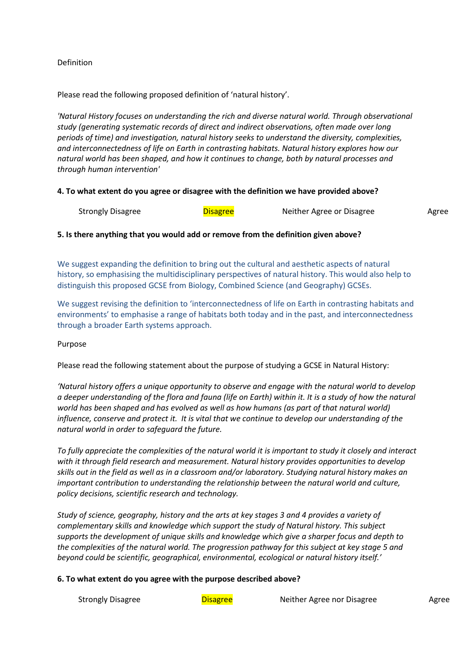# Definition

Please read the following proposed definition of 'natural history'.

*'Natural History focuses on understanding the rich and diverse natural world. Through observational study (generating systematic records of direct and indirect observations, often made over long periods of time) and investigation, natural history seeks to understand the diversity, complexities, and interconnectedness of life on Earth in contrasting habitats. Natural history explores how our natural world has been shaped, and how it continues to change, both by natural processes and through human intervention'*

# **4. To what extent do you agree or disagree with the definition we have provided above?**

| Strongly<br><b>Jisagree</b><br><b>Disagree</b><br>Neither Agree or Disagree<br>Agree |
|--------------------------------------------------------------------------------------|
|--------------------------------------------------------------------------------------|

# **5. Is there anything that you would add or remove from the definition given above?**

We suggest expanding the definition to bring out the cultural and aesthetic aspects of natural history, so emphasising the multidisciplinary perspectives of natural history. This would also help to distinguish this proposed GCSE from Biology, Combined Science (and Geography) GCSEs.

We suggest revising the definition to 'interconnectedness of life on Earth in contrasting habitats and environments' to emphasise a range of habitats both today and in the past, and interconnectedness through a broader Earth systems approach.

## Purpose

Please read the following statement about the purpose of studying a GCSE in Natural History:

*'Natural history offers a unique opportunity to observe and engage with the natural world to develop* a deeper understanding of the flora and fauna (life on Earth) within it. It is a study of how the natural *world has been shaped and has evolved as well as how humans (as part of that natural world) influence, conserve and protect it. It is vital that we continue to develop our understanding of the natural world in order to safeguard the future.*

To fully appreciate the complexities of the natural world it is important to study it closely and interact *with it through field research and measurement. Natural history provides opportunities to develop* skills out in the field as well as in a classroom and/or laboratory. Studying natural history makes an *important contribution to understanding the relationship between the natural world and culture, policy decisions, scientific research and technology.*

*Study of science, geography, history and the arts at key stages 3 and 4 provides a variety of complementary skills and knowledge which support the study of Natural history. This subject supports the development of unique skills and knowledge which give a sharper focus and depth to the complexities of the natural world. The progression pathway for this subject at key stage 5 and beyond could be scientific, geographical, environmental, ecological or natural history itself.'*

## **6. To what extent do you agree with the purpose described above?**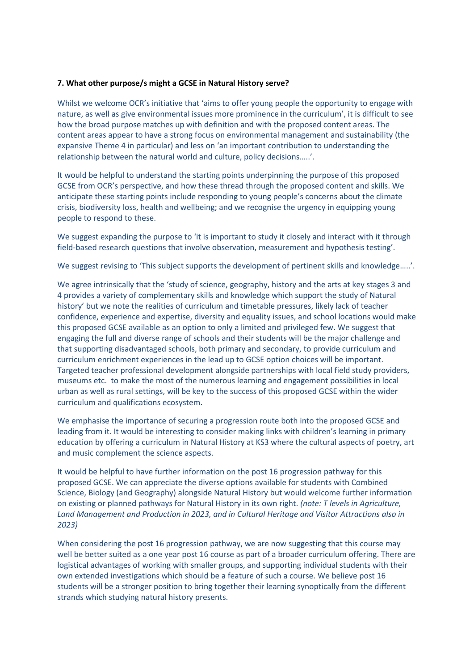## **7. What other purpose/s might a GCSE in Natural History serve?**

Whilst we welcome OCR's initiative that 'aims to offer young people the opportunity to engage with nature, as well as give environmental issues more prominence in the curriculum', it is difficult to see how the broad purpose matches up with definition and with the proposed content areas. The content areas appear to have a strong focus on environmental management and sustainability (the expansive Theme 4 in particular) and less on 'an important contribution to understanding the relationship between the natural world and culture, policy decisions…..'.

It would be helpful to understand the starting points underpinning the purpose of this proposed GCSE from OCR's perspective, and how these thread through the proposed content and skills. We anticipate these starting points include responding to young people's concerns about the climate crisis, biodiversity loss, health and wellbeing; and we recognise the urgency in equipping young people to respond to these.

We suggest expanding the purpose to 'it is important to study it closely and interact with it through field-based research questions that involve observation, measurement and hypothesis testing'.

We suggest revising to 'This subject supports the development of pertinent skills and knowledge.....'.

We agree intrinsically that the 'study of science, geography, history and the arts at key stages 3 and 4 provides a variety of complementary skills and knowledge which support the study of Natural history' but we note the realities of curriculum and timetable pressures, likely lack of teacher confidence, experience and expertise, diversity and equality issues, and school locations would make this proposed GCSE available as an option to only a limited and privileged few. We suggest that engaging the full and diverse range of schools and their students will be the major challenge and that supporting disadvantaged schools, both primary and secondary, to provide curriculum and curriculum enrichment experiences in the lead up to GCSE option choices will be important. Targeted teacher professional development alongside partnerships with local field study providers, museums etc. to make the most of the numerous learning and engagement possibilities in local urban as well as rural settings, will be key to the success of this proposed GCSE within the wider curriculum and qualifications ecosystem.

We emphasise the importance of securing a progression route both into the proposed GCSE and leading from it. It would be interesting to consider making links with children's learning in primary education by offering a curriculum in Natural History at KS3 where the cultural aspects of poetry, art and music complement the science aspects.

It would be helpful to have further information on the post 16 progression pathway for this proposed GCSE. We can appreciate the diverse options available for students with Combined Science, Biology (and Geography) alongside Natural History but would welcome further information on existing or planned pathways for Natural History in its own right. *(note: T levels in Agriculture, Land Management and Production in 2023, and in Cultural Heritage and Visitor Attractions also in 2023)*

When considering the post 16 progression pathway, we are now suggesting that this course may well be better suited as a one year post 16 course as part of a broader curriculum offering. There are logistical advantages of working with smaller groups, and supporting individual students with their own extended investigations which should be a feature of such a course. We believe post 16 students will be a stronger position to bring together their learning synoptically from the different strands which studying natural history presents.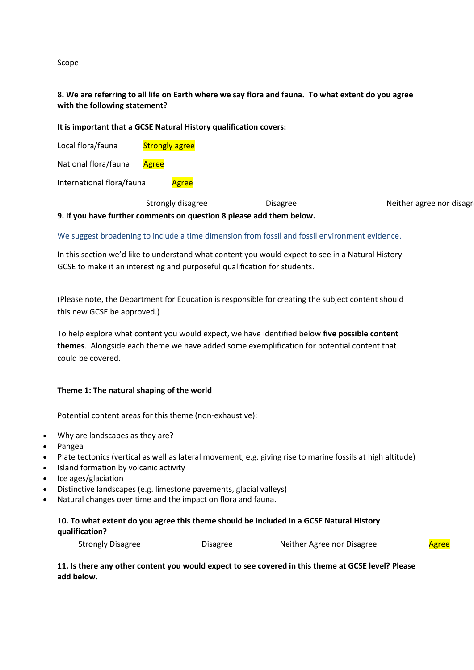Scope

# 8. We are referring to all life on Earth where we say flora and fauna. To what extent do you agree **with the following statement?**

## **It is important that a GCSE Natural History qualification covers:**

Local flora/fauna Strongly agree

National flora/fauna Agree

International flora/fauna Agree

Strongly disagree The Disagree Neither agree nor disagree Neither agree nor disagree Strongly agree Strongly agree Strongly agree Strongly agree Strongly agree Strongly agree Strongly agree Strongly agree Strongly agree St **9. If you have further comments on question 8 please add them below.**

## We suggest broadening to include a time dimension from fossil and fossil environment evidence.

In this section we'd like to understand what content you would expect to see in a Natural History GCSE to make it an interesting and purposeful qualification for students.

(Please note, the Department for Education is responsible for creating the subject content should this new GCSE be approved.)

To help explore what content you would expect, we have identified below **five possible content themes**. Alongside each theme we have added some exemplification for potential content that could be covered.

## **Theme 1: The natural shaping of the world**

Potential content areas for this theme (non-exhaustive):

- Why are landscapes as they are?
- Pangea
- Plate tectonics (vertical as well as lateral movement, e.g. giving rise to marine fossils at high altitude)
- Island formation by volcanic activity
- Ice ages/glaciation
- Distinctive landscapes (e.g. limestone pavements, glacial valleys)
- Natural changes over time and the impact on flora and fauna.

# **10. To what extent do you agree this theme should be included in a GCSE Natural History qualification?**

Strongly Disagree The Disagree Neither Agree nor Disagree Agree

11. Is there any other content you would expect to see covered in this theme at GCSE level? Please **add below.**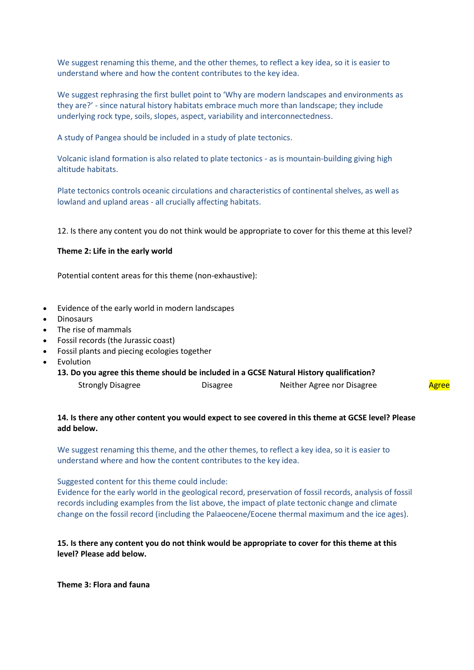We suggest renaming this theme, and the other themes, to reflect a key idea, so it is easier to understand where and how the content contributes to the key idea.

We suggest rephrasing the first bullet point to 'Why are modern landscapes and environments as they are?' - since natural history habitats embrace much more than landscape; they include underlying rock type, soils, slopes, aspect, variability and interconnectedness.

A study of Pangea should be included in a study of plate tectonics.

Volcanic island formation is also related to plate tectonics - as is mountain-building giving high altitude habitats.

Plate tectonics controls oceanic circulations and characteristics of continental shelves, as well as lowland and upland areas - all crucially affecting habitats.

12. Is there any content you do not think would be appropriate to cover for this theme at this level?

### **Theme 2: Life in the early world**

Potential content areas for this theme (non-exhaustive):

- Evidence of the early world in modern landscapes
- **Dinosaurs**
- The rise of mammals
- Fossil records (the Jurassic coast)
- Fossil plants and piecing ecologies together
- Evolution
	- **13. Do you agree this theme should be included in a GCSE Natural History qualification?** Strongly Disagree **Disagree** Disagree Neither Agree nor Disagree Agree

## 14. Is there any other content you would expect to see covered in this theme at GCSE level? Please **add below.**

We suggest renaming this theme, and the other themes, to reflect a key idea, so it is easier to understand where and how the content contributes to the key idea.

Suggested content for this theme could include:

Evidence for the early world in the geological record, preservation of fossil records, analysis of fossil records including examples from the list above, the impact of plate tectonic change and climate change on the fossil record (including the Palaeocene/Eocene thermal maximum and the ice ages).

# 15. Is there any content you do not think would be appropriate to cover for this theme at this **level? Please add below.**

**Theme 3: Flora and fauna**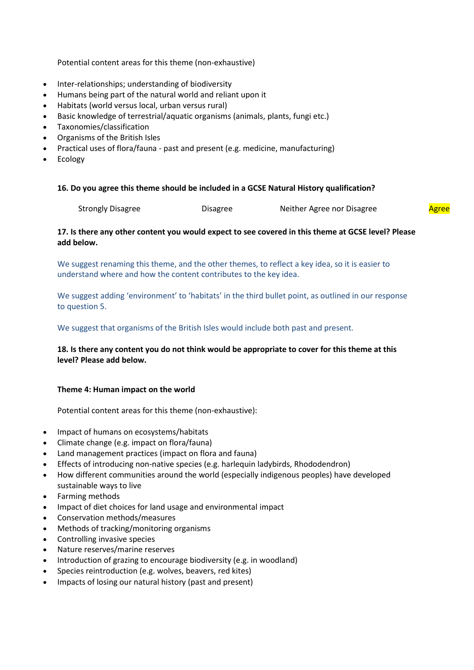Potential content areas for this theme (non-exhaustive)

- Inter-relationships; understanding of biodiversity
- Humans being part of the natural world and reliant upon it
- Habitats (world versus local, urban versus rural)
- Basic knowledge of terrestrial/aquatic organisms (animals, plants, fungi etc.)
- Taxonomies/classification
- Organisms of the British Isles
- Practical uses of flora/fauna past and present (e.g. medicine, manufacturing)
- Ecology

## **16. Do you agree this theme should be included in a GCSE Natural History qualification?**

# 17. Is there any other content you would expect to see covered in this theme at GCSE level? Please **add below.**

We suggest renaming this theme, and the other themes, to reflect a key idea, so it is easier to understand where and how the content contributes to the key idea.

We suggest adding 'environment' to 'habitats' in the third bullet point, as outlined in our response to question 5.

We suggest that organisms of the British Isles would include both past and present.

# 18. Is there any content you do not think would be appropriate to cover for this theme at this **level? Please add below.**

## **Theme 4: Human impact on the world**

Potential content areas for this theme (non-exhaustive):

- Impact of humans on ecosystems/habitats
- Climate change (e.g. impact on flora/fauna)
- Land management practices (impact on flora and fauna)
- Effects of introducing non-native species (e.g. harlequin ladybirds, Rhododendron)
- How different communities around the world (especially indigenous peoples) have developed sustainable ways to live
- Farming methods
- Impact of diet choices for land usage and environmental impact
- Conservation methods/measures
- Methods of tracking/monitoring organisms
- Controlling invasive species
- Nature reserves/marine reserves
- Introduction of grazing to encourage biodiversity (e.g. in woodland)
- Species reintroduction (e.g. wolves, beavers, red kites)
- Impacts of losing our natural history (past and present)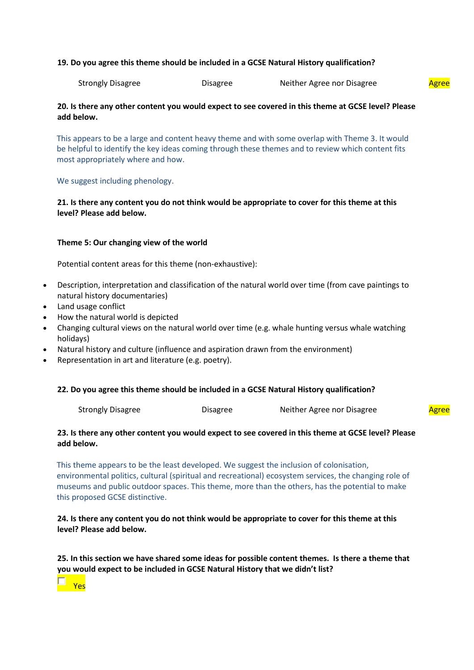### **19. Do you agree this theme should be included in a GCSE Natural History qualification?**

Strongly Disagree **Disagree** Disagree Neither Agree nor Disagree Agree

# 20. Is there any other content you would expect to see covered in this theme at GCSE level? Please **add below.**

This appears to be a large and content heavy theme and with some overlap with Theme 3. It would be helpful to identify the key ideas coming through these themes and to review which content fits most appropriately where and how.

### We suggest including phenology.

# 21. Is there any content you do not think would be appropriate to cover for this theme at this **level? Please add below.**

### **Theme 5: Our changing view of the world**

Potential content areas for this theme (non-exhaustive):

- Description, interpretation and classification of the natural world over time (from cave paintings to natural history documentaries)
- Land usage conflict
- How the natural world is depicted
- Changing cultural views on the natural world over time (e.g. whale hunting versus whale watching holidays)
- Natural history and culture (influence and aspiration drawn from the environment)
- Representation in art and literature (e.g. poetry).

#### **22. Do you agree this theme should be included in a GCSE Natural History qualification?**

## 23. Is there any other content you would expect to see covered in this theme at GCSE level? Please **add below.**

This theme appears to be the least developed. We suggest the inclusion of colonisation, environmental politics, cultural (spiritual and recreational) ecosystem services, the changing role of museums and public outdoor spaces. This theme, more than the others, has the potential to make this proposed GCSE distinctive.

# 24. Is there any content you do not think would be appropriate to cover for this theme at this **level? Please add below.**

**25. In this section we have shared some ideas for possible content themes. Is there a theme that you would expect to be included in GCSE Natural History that we didn't list?** 

Yes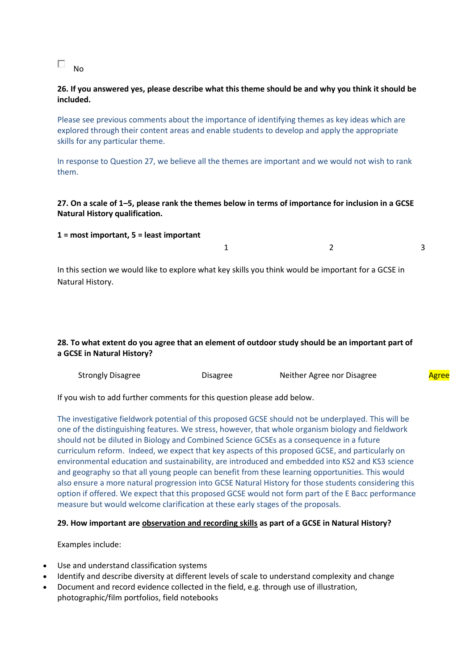#### $\Box$ No

# 26. If you answered yes, please describe what this theme should be and why you think it should be **included.**

Please see previous comments about the importance of identifying themes as key ideas which are explored through their content areas and enable students to develop and apply the appropriate skills for any particular theme.

In response to Question 27, we believe all the themes are important and we would not wish to rank them.

# 27. On a scale of 1–5, please rank the themes below in terms of importance for inclusion in a GCSE **Natural History qualification.**

#### **1 = most important, 5 = least important**

 $1$  2 3

In this section we would like to explore what key skills you think would be important for a GCSE in Natural History.

# 28. To what extent do you agree that an element of outdoor study should be an important part of **a GCSE in Natural History?**

| <b>Strongly Disagree</b><br>Neither Agree nor Disagree<br>)isagree<br><u>Agree</u> |
|------------------------------------------------------------------------------------|
|------------------------------------------------------------------------------------|

If you wish to add further comments for this question please add below.

The investigative fieldwork potential of this proposed GCSE should not be underplayed. This will be one of the distinguishing features. We stress, however, that whole organism biology and fieldwork should not be diluted in Biology and Combined Science GCSEs as a consequence in a future curriculum reform. Indeed, we expect that key aspects of this proposed GCSE, and particularly on environmental education and sustainability, are introduced and embedded into KS2 and KS3 science and geography so that all young people can benefit from these learning opportunities. This would also ensure a more natural progression into GCSE Natural History for those students considering this option if offered. We expect that this proposed GCSE would not form part of the E Bacc performance measure but would welcome clarification at these early stages of the proposals.

## **29. How important are observation and recording skills as part of a GCSE in Natural History?**

Examples include:

- Use and understand classification systems
- Identify and describe diversity at different levels of scale to understand complexity and change
- Document and record evidence collected in the field, e.g. through use of illustration, photographic/film portfolios, field notebooks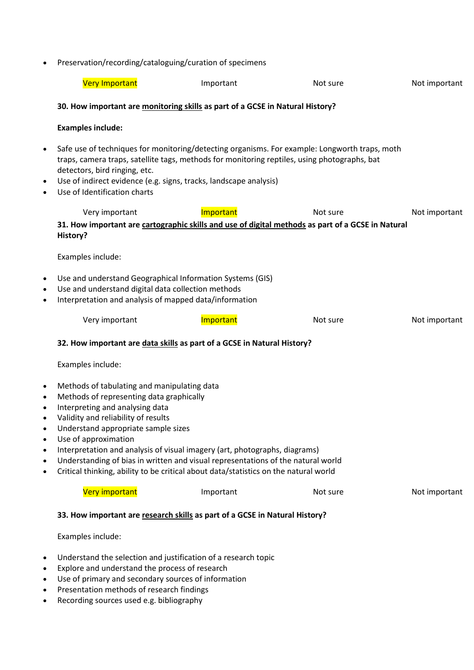Preservation/recording/cataloguing/curation of specimens

|                                                                                                                       | Preservation/recording/cataloguing/curation or specifiens                                                                                                                                                                                                                                                                                                                                                                                                                                  |           |          |               |  |  |  |  |
|-----------------------------------------------------------------------------------------------------------------------|--------------------------------------------------------------------------------------------------------------------------------------------------------------------------------------------------------------------------------------------------------------------------------------------------------------------------------------------------------------------------------------------------------------------------------------------------------------------------------------------|-----------|----------|---------------|--|--|--|--|
|                                                                                                                       | <b>Very Important</b>                                                                                                                                                                                                                                                                                                                                                                                                                                                                      | Important | Not sure | Not important |  |  |  |  |
|                                                                                                                       | 30. How important are monitoring skills as part of a GCSE in Natural History?                                                                                                                                                                                                                                                                                                                                                                                                              |           |          |               |  |  |  |  |
|                                                                                                                       | <b>Examples include:</b>                                                                                                                                                                                                                                                                                                                                                                                                                                                                   |           |          |               |  |  |  |  |
| $\bullet$<br>$\bullet$<br>$\bullet$                                                                                   | Safe use of techniques for monitoring/detecting organisms. For example: Longworth traps, moth<br>traps, camera traps, satellite tags, methods for monitoring reptiles, using photographs, bat<br>detectors, bird ringing, etc.<br>Use of indirect evidence (e.g. signs, tracks, landscape analysis)<br>Use of Identification charts                                                                                                                                                        |           |          |               |  |  |  |  |
|                                                                                                                       | Very important                                                                                                                                                                                                                                                                                                                                                                                                                                                                             | Important | Not sure | Not important |  |  |  |  |
|                                                                                                                       | 31. How important are cartographic skills and use of digital methods as part of a GCSE in Natural<br>History?                                                                                                                                                                                                                                                                                                                                                                              |           |          |               |  |  |  |  |
|                                                                                                                       | Examples include:                                                                                                                                                                                                                                                                                                                                                                                                                                                                          |           |          |               |  |  |  |  |
| $\bullet$<br>$\bullet$<br>$\bullet$                                                                                   | Use and understand Geographical Information Systems (GIS)<br>Use and understand digital data collection methods<br>Interpretation and analysis of mapped data/information                                                                                                                                                                                                                                                                                                                  |           |          |               |  |  |  |  |
|                                                                                                                       | Very important                                                                                                                                                                                                                                                                                                                                                                                                                                                                             | Important | Not sure | Not important |  |  |  |  |
|                                                                                                                       | 32. How important are data skills as part of a GCSE in Natural History?                                                                                                                                                                                                                                                                                                                                                                                                                    |           |          |               |  |  |  |  |
|                                                                                                                       | Examples include:                                                                                                                                                                                                                                                                                                                                                                                                                                                                          |           |          |               |  |  |  |  |
| $\bullet$<br>$\bullet$<br>$\bullet$<br>٠<br>٠<br>٠<br>٠                                                               | Methods of tabulating and manipulating data<br>Methods of representing data graphically<br>Interpreting and analysing data<br>Validity and reliability of results<br>Understand appropriate sample sizes<br>Use of approximation<br>Interpretation and analysis of visual imagery (art, photographs, diagrams)<br>Understanding of bias in written and visual representations of the natural world<br>Critical thinking, ability to be critical about data/statistics on the natural world |           |          |               |  |  |  |  |
|                                                                                                                       | Very important                                                                                                                                                                                                                                                                                                                                                                                                                                                                             | Important | Not sure | Not important |  |  |  |  |
|                                                                                                                       | 33. How important are research skills as part of a GCSE in Natural History?                                                                                                                                                                                                                                                                                                                                                                                                                |           |          |               |  |  |  |  |
|                                                                                                                       | Examples include:                                                                                                                                                                                                                                                                                                                                                                                                                                                                          |           |          |               |  |  |  |  |
| Understand the selection and justification of a research topic<br>٠<br>Explore and understand the process of research |                                                                                                                                                                                                                                                                                                                                                                                                                                                                                            |           |          |               |  |  |  |  |

- Use of primary and secondary sources of information
- Presentation methods of research findings
- Recording sources used e.g. bibliography